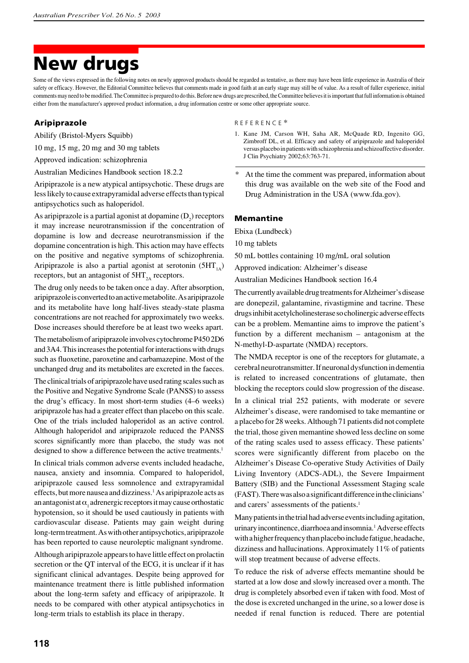# **New drugs**

Some of the views expressed in the following notes on newly approved products should be regarded as tentative, as there may have been little experience in Australia of their safety or efficacy. However, the Editorial Committee believes that comments made in good faith at an early stage may still be of value. As a result of fuller experience, initial comments may need to be modified. The Committee is prepared to do this. Before new drugs are prescribed, the Committee believesit is important that full information is obtained either from the manufacturer's approved product information, a drug information centre or some other appropriate source.

#### **Aripiprazole**

Abilify (Bristol-Myers Squibb)

10 mg, 15 mg, 20 mg and 30 mg tablets

Approved indication: schizophrenia

Australian Medicines Handbook section 18.2.2

Aripiprazole is a new atypical antipsychotic. These drugs are less likely to cause extrapyramidal adverse effects than typical antipsychotics such as haloperidol.

As aripiprazole is a partial agonist at dopamine  $(D_2)$  receptors it may increase neurotransmission if the concentration of dopamine is low and decrease neurotransmission if the dopamine concentration is high. This action may have effects on the positive and negative symptoms of schizophrenia. Aripiprazole is also a partial agonist at serotonin  $(5HT_{1A})$ receptors, but an antagonist of  $5HT_{2A}$  receptors.

The drug only needs to be taken once a day. After absorption, aripiprazole is converted to an active metabolite. As aripiprazole and its metabolite have long half-lives steady-state plasma concentrations are not reached for approximately two weeks. Dose increases should therefore be at least two weeks apart.

The metabolism of aripiprazole involves cytochrome P450 2D6 and 3A4. This increases the potential for interactions with drugs such as fluoxetine, paroxetine and carbamazepine. Most of the unchanged drug and its metabolites are excreted in the faeces.

The clinical trials of aripiprazole have used rating scales such as the Positive and Negative Syndrome Scale (PANSS) to assess the drug's efficacy. In most short-term studies (4–6 weeks) aripiprazole has had a greater effect than placebo on this scale. One of the trials included haloperidol as an active control. Although haloperidol and aripiprazole reduced the PANSS scores significantly more than placebo, the study was not designed to show a difference between the active treatments.<sup>1</sup>

In clinical trials common adverse events included headache, nausea, anxiety and insomnia. Compared to haloperidol, aripiprazole caused less somnolence and extrapyramidal effects, but more nausea and dizziness.1As aripiprazole acts as an antagonist at  $\alpha_1$  adrenergic receptors it may cause orthostatic hypotension, so it should be used cautiously in patients with cardiovascular disease. Patients may gain weight during long-term treatment. As with other antipsychotics, aripiprazole has been reported to cause neuroleptic malignant syndrome.

Although aripiprazole appears to have little effect on prolactin secretion or the QT interval of the ECG, it is unclear if it has significant clinical advantages. Despite being approved for maintenance treatment there is little published information about the long-term safety and efficacy of aripiprazole. It needs to be compared with other atypical antipsychotics in long-term trials to establish its place in therapy.

R E F E R E N C E \*

- 1. Kane JM, Carson WH, Saha AR, McQuade RD, Ingenito GG, Zimbroff DL, et al. Efficacy and safety of aripiprazole and haloperidol versus placebo in patients with schizophrenia and schizoaffective disorder. J Clin Psychiatry 2002;63:763-71.
- At the time the comment was prepared, information about this drug was available on the web site of the Food and Drug Administration in the USA (www.fda.gov).

#### **Memantine**

Ebixa (Lundbeck)

10 mg tablets

50 mL bottles containing 10 mg/mL oral solution

Approved indication: Alzheimer's disease

Australian Medicines Handbook section 16.4

The currently available drug treatments for Alzheimer's disease are donepezil, galantamine, rivastigmine and tacrine. These drugs inhibit acetylcholinesterase so cholinergic adverse effects can be a problem. Memantine aims to improve the patient's function by a different mechanism – antagonism at the N-methyl-D-aspartate (NMDA) receptors.

The NMDA receptor is one of the receptors for glutamate, a cerebral neurotransmitter. If neuronal dysfunction in dementia is related to increased concentrations of glutamate, then blocking the receptors could slow progression of the disease.

In a clinical trial 252 patients, with moderate or severe Alzheimer's disease, were randomised to take memantine or a placebo for 28 weeks. Although 71 patients did not complete the trial, those given memantine showed less decline on some of the rating scales used to assess efficacy. These patients' scores were significantly different from placebo on the Alzheimer's Disease Co-operative Study Activities of Daily Living Inventory (ADCS-ADL), the Severe Impairment Battery (SIB) and the Functional Assessment Staging scale (FAST). There was also a significant difference in the clinicians' and carers' assessments of the patients.<sup>1</sup>

Many patients in the trial had adverse events including agitation, urinary incontinence, diarrhoea and insomnia.<sup>1</sup> Adverse effects with a higher frequency than placebo include fatigue, headache, dizziness and hallucinations. Approximately 11% of patients will stop treatment because of adverse effects.

To reduce the risk of adverse effects memantine should be started at a low dose and slowly increased over a month. The drug is completely absorbed even if taken with food. Most of the dose is excreted unchanged in the urine, so a lower dose is needed if renal function is reduced. There are potential